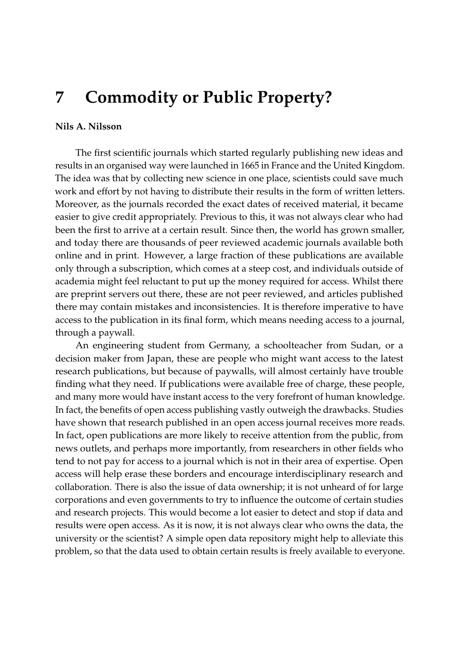## **7 Commodity or Public Property?**

## **Nils A. Nilsson**

The first scientific journals which started regularly publishing new ideas and results in an organised way were launched in 1665 in France and the United Kingdom. The idea was that by collecting new science in one place, scientists could save much work and effort by not having to distribute their results in the form of written letters. Moreover, as the journals recorded the exact dates of received material, it became easier to give credit appropriately. Previous to this, it was not always clear who had been the first to arrive at a certain result. Since then, the world has grown smaller, and today there are thousands of peer reviewed academic journals available both online and in print. However, a large fraction of these publications are available only through a subscription, which comes at a steep cost, and individuals outside of academia might feel reluctant to put up the money required for access. Whilst there are preprint servers out there, these are not peer reviewed, and articles published there may contain mistakes and inconsistencies. It is therefore imperative to have access to the publication in its final form, which means needing access to a journal, through a paywall.

An engineering student from Germany, a schoolteacher from Sudan, or a decision maker from Japan, these are people who might want access to the latest research publications, but because of paywalls, will almost certainly have trouble finding what they need. If publications were available free of charge, these people, and many more would have instant access to the very forefront of human knowledge. In fact, the benefits of open access publishing vastly outweigh the drawbacks. Studies have shown that research published in an open access journal receives more reads. In fact, open publications are more likely to receive attention from the public, from news outlets, and perhaps more importantly, from researchers in other fields who tend to not pay for access to a journal which is not in their area of expertise. Open access will help erase these borders and encourage interdisciplinary research and collaboration. There is also the issue of data ownership; it is not unheard of for large corporations and even governments to try to influence the outcome of certain studies and research projects. This would become a lot easier to detect and stop if data and results were open access. As it is now, it is not always clear who owns the data, the university or the scientist? A simple open data repository might help to alleviate this problem, so that the data used to obtain certain results is freely available to everyone.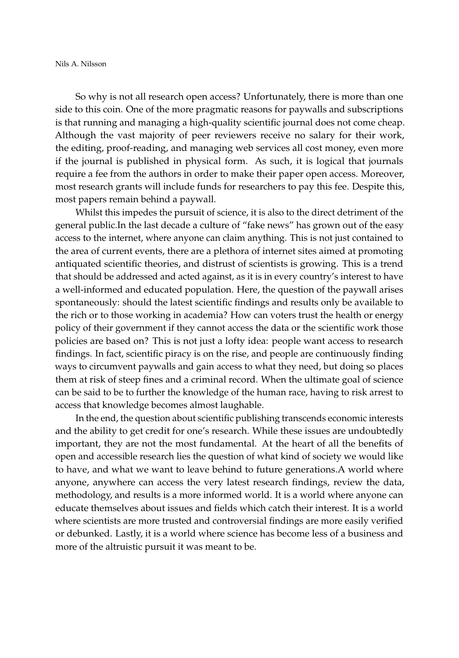So why is not all research open access? Unfortunately, there is more than one side to this coin. One of the more pragmatic reasons for paywalls and subscriptions is that running and managing a high-quality scientific journal does not come cheap. Although the vast majority of peer reviewers receive no salary for their work, the editing, proof-reading, and managing web services all cost money, even more if the journal is published in physical form. As such, it is logical that journals require a fee from the authors in order to make their paper open access. Moreover, most research grants will include funds for researchers to pay this fee. Despite this, most papers remain behind a paywall.

Whilst this impedes the pursuit of science, it is also to the direct detriment of the general public.In the last decade a culture of "fake news" has grown out of the easy access to the internet, where anyone can claim anything. This is not just contained to the area of current events, there are a plethora of internet sites aimed at promoting antiquated scientific theories, and distrust of scientists is growing. This is a trend that should be addressed and acted against, as it is in every country's interest to have a well-informed and educated population. Here, the question of the paywall arises spontaneously: should the latest scientific findings and results only be available to the rich or to those working in academia? How can voters trust the health or energy policy of their government if they cannot access the data or the scientific work those policies are based on? This is not just a lofty idea: people want access to research findings. In fact, scientific piracy is on the rise, and people are continuously finding ways to circumvent paywalls and gain access to what they need, but doing so places them at risk of steep fines and a criminal record. When the ultimate goal of science can be said to be to further the knowledge of the human race, having to risk arrest to access that knowledge becomes almost laughable.

In the end, the question about scientific publishing transcends economic interests and the ability to get credit for one's research. While these issues are undoubtedly important, they are not the most fundamental. At the heart of all the benefits of open and accessible research lies the question of what kind of society we would like to have, and what we want to leave behind to future generations.A world where anyone, anywhere can access the very latest research findings, review the data, methodology, and results is a more informed world. It is a world where anyone can educate themselves about issues and fields which catch their interest. It is a world where scientists are more trusted and controversial findings are more easily verified or debunked. Lastly, it is a world where science has become less of a business and more of the altruistic pursuit it was meant to be.